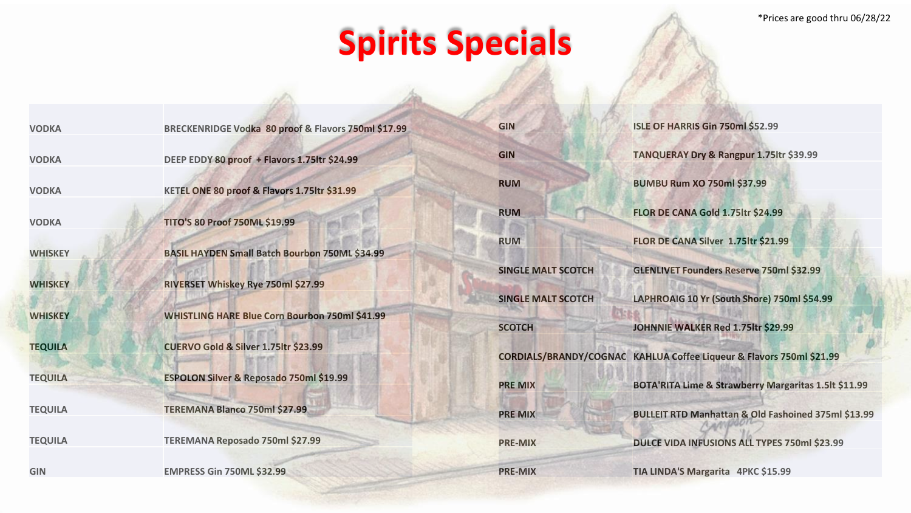## **Spirits Specials**

| <b>VODKA</b>   | BRECKENRIDGE Vodka 80 proof & Flavors 750ml \$17.99   | <b>GIN</b>                | ISLE OF HARRIS Gin 750ml \$52.99                                     |
|----------------|-------------------------------------------------------|---------------------------|----------------------------------------------------------------------|
| <b>VODKA</b>   | DEEP EDDY 80 proof + Flavors 1.75ltr \$24.99          | <b>GIN</b>                | TANQUERAY Dry & Rangpur 1.75 ltr \$39.99                             |
| <b>VODKA</b>   | KETEL ONE 80 proof & Flavors 1.75ltr \$31.99          | <b>RUM</b>                | <b>BUMBU Rum XO 750ml \$37.99</b>                                    |
| <b>VODKA</b>   | <b>TITO'S 80 Proof 750ML \$19.99</b>                  | <b>RUM</b>                | FLOR DE CANA Gold 1.75ltr \$24.99                                    |
| <b>WHISKEY</b> | BASIL HAYDEN Small Batch Bourbon 750ML \$34.99        | <b>RUM</b>                | FLOR DE CANA Silver 1.75ltr \$21.99                                  |
|                |                                                       | <b>SINGLE MALT SCOTCH</b> | <b>GLENLIVET Founders Reserve 750ml \$32.99</b>                      |
| <b>WHISKEY</b> | RIVERSET Whiskey Rye 750ml \$27.99                    | <b>SINGLE MALT SCOTCH</b> | LAPHROAIG 10 Yr (South Shore) 750ml \$54.99                          |
| <b>WHISKEY</b> | <b>WHISTLING HARE Blue Corn Bourbon 750ml \$41.99</b> | <b>SCOTCH</b>             | JOHNNIE WALKER Red 1.75ltr \$29.99                                   |
| <b>TEQUILA</b> | CUERVO Gold & Silver 1.75ltr \$23.99                  |                           | CORDIALS/BRANDY/COGNAC KAHLUA Coffee Liqueur & Flavors 750ml \$21.99 |
| <b>TEQUILA</b> | ESPOLON Silver & Reposado 750ml \$19.99               | <b>PRE MIX</b>            | BOTA'RITA Lime & Strawberry Margaritas 1.5lt \$11.99                 |
| <b>TEQUILA</b> | TEREMANA Blanco 750ml \$27.99                         | <b>PRE MIX</b>            | <b>BULLEIT RTD Manhattan &amp; Old Fashoined 375ml \$13.99</b>       |
| <b>TEQUILA</b> | TEREMANA Reposado 750ml \$27.99                       | <b>PRE-MIX</b>            | DULCE VIDA INFUSIONS ALL TYPES 750ml \$23.99                         |
| <b>GIN</b>     | <b>EMPRESS Gin 750ML \$32.99</b>                      | <b>PRE-MIX</b>            | TIA LINDA'S Margarita 4PKC \$15.99                                   |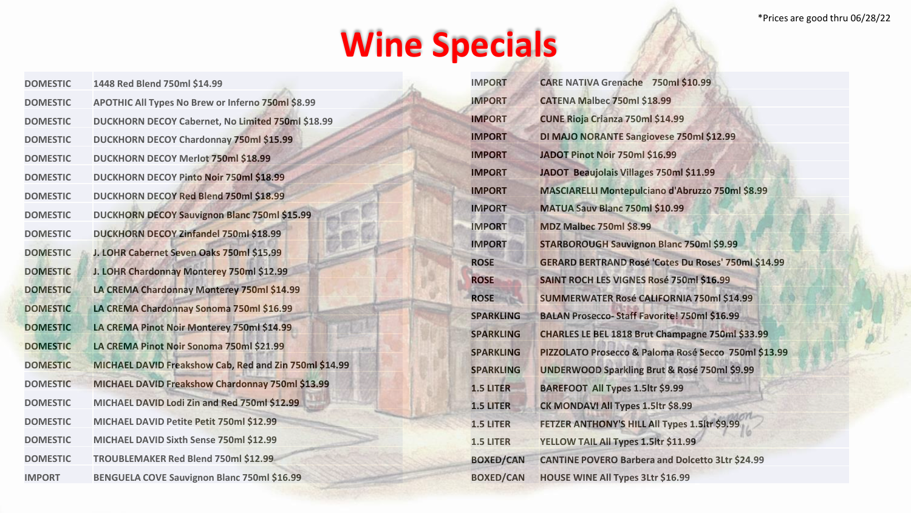## **Wine Specials**

| <b>DOMESTIC</b> | 1448 Red Blend 750ml \$14.99                           |
|-----------------|--------------------------------------------------------|
| <b>DOMESTIC</b> | APOTHIC All Types No Brew or Inferno 750ml \$8.99      |
| <b>DOMESTIC</b> | DUCKHORN DECOY Cabernet, No Limited 750ml \$18.99      |
| <b>DOMESTIC</b> | <b>DUCKHORN DECOY Chardonnay 750ml \$15.99</b>         |
| <b>DOMESTIC</b> | DUCKHORN DECOY Merlot 750ml \$18.99                    |
| <b>DOMESTIC</b> | DUCKHORN DECOY Pinto Noir 750ml \$18.99                |
| <b>DOMESTIC</b> | DUCKHORN DECOY Red Blend 750ml \$18.99                 |
| <b>DOMESTIC</b> | <b>DUCKHORN DECOY Sauvignon Blanc 750ml \$15.99</b>    |
| <b>DOMESTIC</b> | DUCKHORN DECOY Zinfandel 750ml \$18.99                 |
| <b>DOMESTIC</b> | J. LOHR Cabernet Seven Oaks 750ml \$15.99              |
| <b>DOMESTIC</b> | J. LOHR Chardonnay Monterey 750ml \$12.99              |
| <b>DOMESTIC</b> | LA CREMA Chardonnay Monterey 750ml \$14.99             |
| <b>DOMESTIC</b> | LA CREMA Chardonnay Sonoma 750ml \$16.99               |
| <b>DOMESTIC</b> | LA CREMA Pinot Noir Monterey 750ml \$14.99             |
| <b>DOMESTIC</b> | LA CREMA Pinot Noir Sonoma 750ml \$21.99               |
| <b>DOMESTIC</b> | MICHAEL DAVID Freakshow Cab, Red and Zin 750ml \$14.99 |
| <b>DOMESTIC</b> | MICHAEL DAVID Freakshow Chardonnay 750ml \$13.99       |
| <b>DOMESTIC</b> | MICHAEL DAVID Lodi Zin and Red 750ml \$12.99           |
| <b>DOMESTIC</b> | MICHAEL DAVID Petite Petit 750ml \$12.99               |
| <b>DOMESTIC</b> | MICHAEL DAVID Sixth Sense 750ml \$12.99                |
| <b>DOMESTIC</b> | TROUBLEMAKER Red Blend 750ml \$12.99                   |
| <b>IMPORT</b>   | BENGUELA COVE Sauvignon Blanc 750ml \$16.99            |

| <b>IMPORT</b>    | <b>CARE NATIVA Grenache 750ml \$10.99</b>                  |
|------------------|------------------------------------------------------------|
| <b>IMPORT</b>    | CATENA Malbec 750ml \$18.99                                |
| <b>IMPORT</b>    | <b>CUNE Rioja Crianza 750ml \$14.99</b>                    |
| <b>IMPORT</b>    | DI MAJO NORANTE Sangiovese 750ml \$12.99                   |
| <b>IMPORT</b>    | JADOT Pinot Noir 750ml \$16.99                             |
| <b>IMPORT</b>    | JADOT Beaujolais Villages 750ml \$11.99                    |
| <b>IMPORT</b>    | MASCIARELLI Montepulciano d'Abruzzo 750ml \$8.99           |
| <b>IMPORT</b>    | MATUA Sauv Blanc 750ml \$10.99                             |
| <b>IMPORT</b>    | <b>MDZ Malbec 750ml \$8.99</b>                             |
| <b>IMPORT</b>    | <b>STARBOROUGH Sauvignon Blanc 750ml \$9.99</b>            |
| <b>ROSE</b>      | <b>GERARD BERTRAND Rosé 'Cotes Du Roses' 750ml \$14.99</b> |
| <b>ROSE</b>      | <b>SAINT ROCH LES VIGNES Rosé 750ml \$16.99</b>            |
| <b>ROSE</b>      | SUMMERWATER Rosé CALIFORNIA 750ml \$14.99                  |
| <b>SPARKLING</b> | <b>BALAN Prosecco-Staff Favorite! 750ml \$16.99</b>        |
| <b>SPARKLING</b> | CHARLES LE BEL 1818 Brut Champagne 750ml \$33.99           |
| <b>SPARKLING</b> | PIZZOLATO Prosecco & Paloma Rosé Secco 750ml \$13.99       |
| <b>SPARKLING</b> | <b>UNDERWOOD Sparkling Brut &amp; Rosé 750ml \$9.99</b>    |
| <b>1.5 LITER</b> | BAREFOOT All Types 1.5ltr \$9.99                           |
| <b>1.5 LITER</b> | CK MONDAVI All Types 1.5ltr \$8.99                         |
| <b>1.5 LITER</b> | FETZER ANTHONY'S HILL All Types 1.5ltr \$9.99              |
| <b>1.5 LITER</b> | YELLOW TAIL All Types 1.5ltr \$11.99                       |
| <b>BOXED/CAN</b> | <b>CANTINE POVERO Barbera and Dolcetto 3Ltr \$24.99</b>    |
| <b>BOXED/CAN</b> | <b>HOUSE WINE All Types 3Ltr \$16.99</b>                   |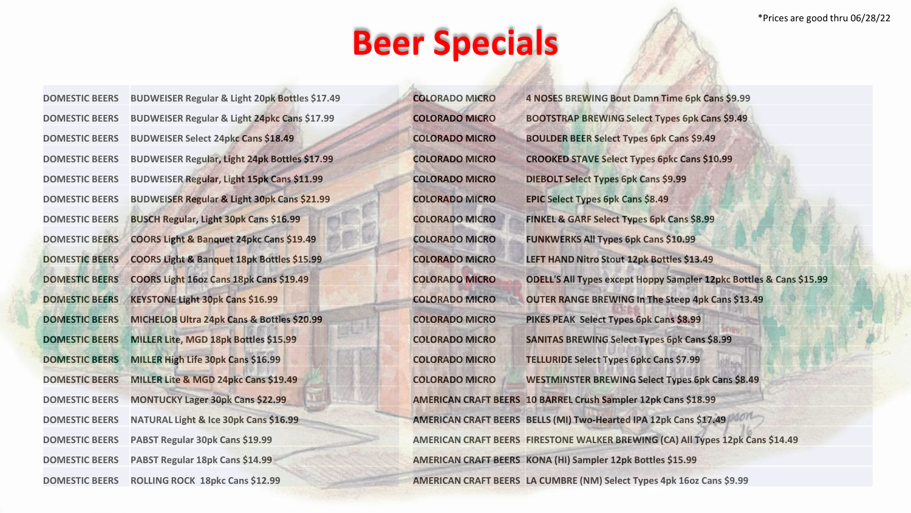\*Prices are good thru 06/28/22

## **Beer Specials**

| <b>DOMESTIC BEERS</b> | BUDWEISER Regular & Light 20pk Bottles \$17.49          |
|-----------------------|---------------------------------------------------------|
| <b>DOMESTIC BEERS</b> | <b>BUDWEISER Regular &amp; Light 24pkc Cans \$17.99</b> |
| <b>DOMESTIC BEERS</b> | <b>BUDWEISER Select 24pkc Cans \$18.49</b>              |
| <b>DOMESTIC BEERS</b> | <b>BUDWEISER Regular, Light 24pk Bottles \$17.99</b>    |
| <b>DOMESTIC BEERS</b> | <b>BUDWEISER Regular, Light 15pk Cans \$11.99</b>       |
| <b>DOMESTIC BEERS</b> | <b>BUDWEISER Regular &amp; Light 30pk Cans \$21.99</b>  |
| <b>DOMESTIC BEERS</b> | <b>BUSCH Regular, Light 30pk Cans \$16.99</b>           |
| <b>DOMESTIC BEERS</b> | COORS Light & Banquet 24pkc Cans \$19.49                |
| <b>DOMESTIC BEERS</b> | COORS Light & Banquet 18pk Bottles \$15.99              |
| <b>DOMESTIC BEERS</b> | COORS Light 16oz Cans 18pk Cans \$19.49                 |
| <b>DOMESTIC BEERS</b> | <b>KEYSTONE Light 30pk Cans \$16.99</b>                 |
| <b>DOMESTIC BEERS</b> | MICHELOB Ultra 24pk Cans & Bottles \$20.99              |
| <b>DOMESTIC BEERS</b> | MILLER Lite, MGD 18pk Bottles \$15.99                   |
| <b>DOMESTIC BEERS</b> | MILLER High Life 30pk Cans \$16.99                      |
| <b>DOMESTIC BEERS</b> | MILLER Lite & MGD 24pkc Cans \$19.49                    |
| <b>DOMESTIC BEERS</b> | <b>MONTUCKY Lager 30pk Cans \$22.99</b>                 |
| <b>DOMESTIC BEERS</b> | NATURAL Light & Ice 30pk Cans \$16.99                   |
| <b>DOMESTIC BEERS</b> | PABST Regular 30pk Cans \$19.99                         |
| <b>DOMESTIC BEERS</b> | PABST Regular 18pk Cans \$14.99                         |
| <b>DOMESTIC BEERS</b> | ROLLING ROCK 18pkc Cans \$12.99                         |
|                       |                                                         |

| <b>COLORADO MICRO</b> | 4 NOSES BREWING Bout Damn Time 6pk Cans \$9.99                                 |
|-----------------------|--------------------------------------------------------------------------------|
| <b>COLORADO MICRO</b> | <b>BOOTSTRAP BREWING Select Types 6pk Cans \$9.49</b>                          |
| <b>COLORADO MICRO</b> | <b>BOULDER BEER Select Types 6pk Cans \$9.49</b>                               |
| <b>COLORADO MICRO</b> | <b>CROOKED STAVE Select Types 6pkc Cans \$10.99</b>                            |
| <b>COLORADO MICRO</b> | <b>DIEBOLT Select Types 6pk Cans \$9.99</b>                                    |
| <b>COLORADO MICRO</b> | EPIC Select Types 6pk Cans \$8.49                                              |
| <b>COLORADO MICRO</b> | FINKEL & GARF Select Types 6pk Cans \$8.99                                     |
| <b>COLORADO MICRO</b> | <b>FUNKWERKS All Types 6pk Cans \$10.99</b>                                    |
| <b>COLORADO MICRO</b> | LEFT HAND Nitro Stout 12pk Bottles \$13.49                                     |
| <b>COLORADO MICRO</b> | ODELL'S All Types except Hoppy Sampler 12pkc Bottles & Cans \$15.99            |
| <b>COLORADO MICRO</b> | <b>OUTER RANGE BREWING In The Steep 4pk Cans \$13.49</b>                       |
| <b>COLORADO MICRO</b> | PIKES PEAK Select Types 6pk Cans \$8.99                                        |
| <b>COLORADO MICRO</b> | <b>SANITAS BREWING Select Types 6pk Cans \$8.99</b>                            |
| <b>COLORADO MICRO</b> | <b>TELLURIDE Select Types 6pkc Cans \$7.99</b>                                 |
| <b>COLORADO MICRO</b> | WESTMINSTER BREWING Select Types 6pk Cans \$8.49                               |
|                       | AMERICAN CRAFT BEERS 10 BARREL Crush Sampler 12pk Cans \$18.99                 |
|                       | AMERICAN CRAFT BEERS BELLS (MI) Two-Hearted IPA 12pk Cans \$17.49              |
|                       | AMERICAN CRAFT BEERS FIRESTONE WALKER BREWING (CA) All Types 12pk Cans \$14.49 |
|                       | AMERICAN CRAFT BEERS KONA (HI) Sampler 12pk Bottles \$15.99                    |
|                       | AMERICAN CRAFT BEERS LA CUMBRE (NM) Select Types 4pk 16oz Cans \$9.99          |